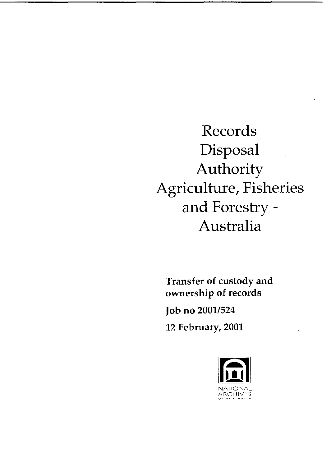Records Disposal Authority Agriculture, Fisheries and Forestry Australia

Transfer of custody and ownership of records

Job no 2001/524

12 February, 2001

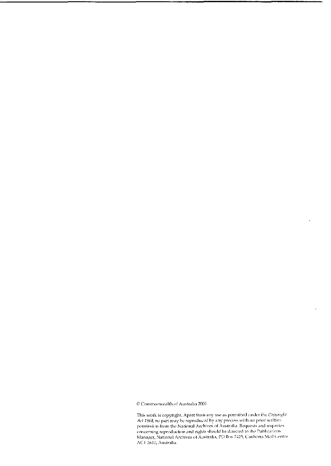$\ensuremath{\mathbb{Q}}$  Commonwealth of Australia 2001

This work is copyright. Apart from any use as permitted under the Copyright Act 1968, no part may be reproduced by any process without prior written permission from the National Archives of Australia. Requests and inquiries concerning reproduction and rights should be directed to the Publications Manager, National Archives of Australia, PO Box 7425, Canberra Mail Centre<br>ACI 2610, Australia.  $\overline{ }$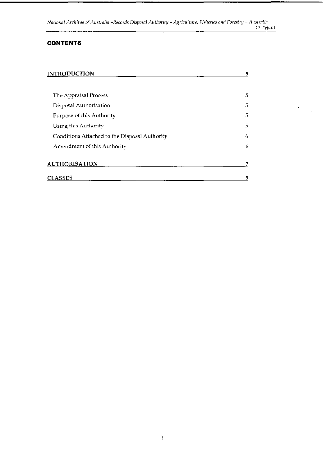*National Archives of Australia -Records Disposal Authority AgriCliltllft', Fisheries and Forestry Allstralia*  12-Feb-01

### **CONTENTS**

| <b>INTRODUCTION</b>                           | 5 |  |
|-----------------------------------------------|---|--|
|                                               |   |  |
| The Appraisal Process                         | 5 |  |
| Disposal Authorisation                        | 5 |  |
| Purpose of this Authority                     | 5 |  |
| Using this Authority                          | 5 |  |
| Conditions Attached to the Disposal Authority | 6 |  |
| Amendment of this Authority                   | 6 |  |
| <b>AUTHORISATION</b>                          |   |  |
| <b>CLASSES</b>                                | 9 |  |

 $\label{eq:2} \frac{\sqrt{2}}{2} \left( \frac{1}{\sqrt{2}} \right) \frac{1}{\sqrt{2}} \, .$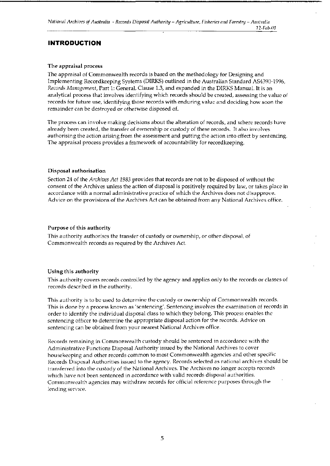*National Archives of Australia - Records Disposal Authority - Agriculture, Fisheries and Forestry - Australia* 12 Feb 01

### **INTRODUCTION**

### The appraisal process

The appraisal of Commonwealth records is based on the methodology for Designing and Implementing Recordkeeping Systems (DIRKS) outlined in the Australian Standard AS4390-1996, *Records Management,* Part 1: General. Clause 1.3, and expanded in the DIRKS Manual. It is an analytical process that involves identifying which records should be created, assessing the value of records for future usc, identifying those records with enduring value and deciding how soon the remainder can be destroyed or otherwise disposed of.

The process can involve making decisions about the alteration of records, and where records have already been created, the transfer of ownership or custody of these records. It also involves authorising the action arising from the assessment and putting the action into effect by sentencing. The appraisal process provides a framework of accountability for record keeping.

### Disposal authorisation

Section 24 of the *Archives Act* 1983 provides that records are not to be disposed of without the consent of the Archives unless the action of disposal is positively required by law, or takes place in accordance with a normal administrative practice of which the Archives does not disapprove. Advice on the provisions of the Archives Act can be obtained from any National Archives office.

### Purpose of this authority

This authority authorises the transfer of custody or ownership, or other disposal, of Commonwealth records as required by the Archives Act.

### Using this authority

This authority covers records controlled by the agency and applies only to the records or classes of records described in the authority.

This authority is to be used to determine the custody or ownership of Commonwealth records. This is done by a process known as 'sentencing'. Sentencing involves the examination of records in order to identify the individual disposal class to which they belong. This process enables the sentencing officer to determine the appropriate disposal action for the records. Advice on sentencing can be obtained from your nearest National Archives office.

Records remaining in Commonwealth custody should be sentenced in accordance with the Administrative Functions Disposal Authority issued by the National Archives to cover housekeeping and other records common to most Commonwealth agencies and other specific Records Disposal Authorities issued to the agency. Records selected as national archives should be transferred into the custody of the National Archives. The Archives no longer accepts records which have not been sentenced in accordance with valid records disposal authorities. Commonwealth agencies may withdraw records for official reference purposes through the lending service.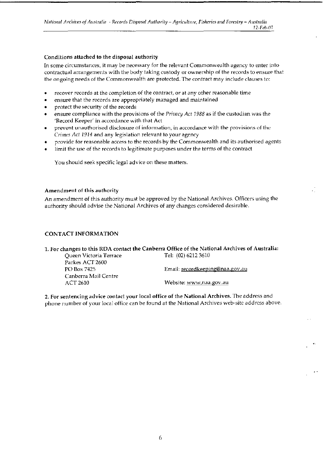*National Archives of Australia - Records Disposal Authority - Agriculture, Fisheries and Forestry - Australia* 

*12-Feb-01* 

### Conditions attached to the disposal authority

In some circumstances, it may be necessary for the relevant Commonwealth agency to enter into contractual arrangements with the body taking custody or ownership of the records to ensure that the ongoing needs of the Commonwealth are protected. The contract may include clauses to:

- recover records at the completion of the contract, or at any other reasonable time
- ensure that the records are appropriately managed and maintained
- protect the security of the records
- ensure compliance with the provisions of the *Privacy Act* 1988 as if the custodian was the 'Record Keeper' in accordance with that Act
- prevent unauthorised disclosure of information, in accordance with the provisions of the *Crimes Act* 1914 and any legislation relevant to your agency
- provide for reasonable access to the records by the Commonwealth and its authorised agents
- limit the use of the records to legitimate purposes under the terms of the contract

You should seek specific legal advice on these matters.

### Amendment of this authority

An amendment of this authority must be approved by the National Archives. Officers using the authority should advise the National Archives of any changes considered desirable.

### CONTACT INFORMATION

### 1. For changes to this RDA contact the Canberra Office of the National Archives of Australia: Queen Victoria Terrace Tel: (02) 6212 3610

Parkes ACT 2600 Canberra Mail Centre

PO Box 7425 **Email:** recordkeeping@naa.gov.au

ACT 2610 Website: www.naa.gov.au

2. For sentencing advice contact your local office of the National Archives. The address and phone number of your local office can be found at the National Archives web-site address above.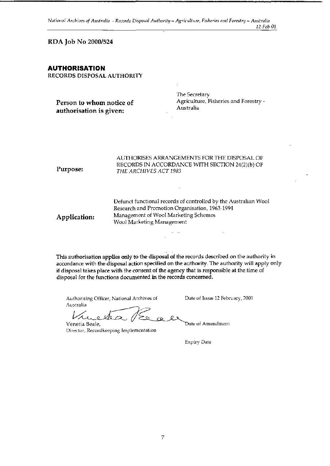*National Archives of Australia - Records Disposal Authority - Agriculture, Fisheries and Forestry - Australia 12-Feb-01* 

RDA Job No 2000/524

### AUTHORISATION

RECORDS DISPOSAL AUTHORITY

| Purpose: | AUTHORISES ARRANGEMENTS FOR THE DISPOSAL OF<br>RECORDS IN ACCORDANCE WITH SECTION 24(2)(b) OF<br>THE ARCHIVES ACT 1983 |  |  |
|----------|------------------------------------------------------------------------------------------------------------------------|--|--|
|          | Defunct functional records of controlled by the Australian Wool<br>Research and Promotion Organisation, 1963-1994      |  |  |

Research and Promotion Organisation, 1963-1994 Application: Management of Wool Marketing Schemes Wool Marketing Management

This authorisation applies only to the disposal of the records described on the authority in accordance with the disposal action specified on the authority. The authority will apply only if disposal takes place with the consent of the agency that is responsible at the time of disposal for the functions documented in the records concerned.

Authorising Officer, National Archives of Date of Issue 12 February, 2001 Australia

Vincle 12 / E a le Date of Amendment

Director, Recordkeeping Implementation

Expiry Date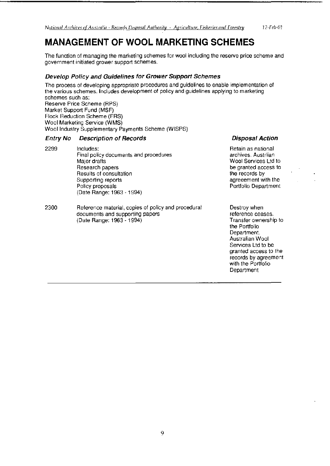## **MANAGEMENT OF WOOL MARKETING SCHEMES**

The function of managing the marketing schemes for wool including the reserve price scheme and government initiated grower support schemes.

### Develop Policy and Guidelines for Grower Support Schemes

The process of developing appropriate procedures and guidelines to enable implementation of the various schemes. Includes development of policy and guidelines applying to marketing schemes such as: Reserve Price Scheme (RPS) Market Support Fund (MSF) Flock Reduction Scheme (FRS) Wool Marketing Service (WMS) Wool Industry Supplementary Payments Scheme (WISPS)

### **Entry No Description of Records**

- 2299 Includes: Final policy documents and procedures Major drafts Research papers Results of consultation Supporting reports Policy proposals (Date Range: 1963 - 1994)
- 2300 Reference material, copies of policy and procedural documents and supporting papers (Date Range: 1963 - 1994)

**Disposal Action** 

Retain as national archives. Austrlian Wool Services Ltd to be granted access to the records by agreeement with the Portfolio Department

Destroy when reference ceases. Transfer ownership to the Portfolio Department. Australian Wool Services Ltd to be granted access to the records by agreement with the Portfolio Department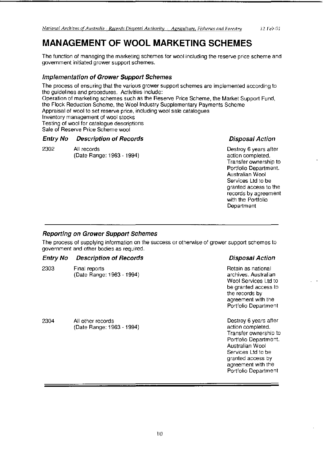# MANAGEMENT OF WOOL MARKETING SCHEMES

The function of managing the marketing schemes for wool including the reserve price scheme and government initiated grower support schemes.

### **Implementation of Grower Support Schemes**

The process of ensuring that the various grower support schemes are implemented according to the guidelines and procedures. Activities include: Operation of marketing schemes such as the Reserve Price Scheme, the Market Support Fund, the Flock Reduction Scheme, the Wool Industry Supplementary Payments Scheme Appraisal of wool to set reserve price, including wool sale catalogues Inventory management of wool stocks Testing of wool for catalogue descriptions Sale of Reserve Price Scheme wool

### **Entry No Description of Records Contract Contract Disposal Action Action**

2302 All records **All records** 2302 All records **All records** 2302 All records **All records** 2302 All records **All records** 2302 All records **All records** 2302 All records **All records** 2302 All records 2302 All records 23 (Date Range: 1963 - 1994)

Transfer ownership to Portfolio Department. Australian Wool Services Ltd to be granted access to the records by agreement with the Portfolio Department

### **Reporting on Grower Support Schemes**

The process of supplying information on the success or otherwise of grower support schemes to government and other bodies as required.

### **Entry No Description of Records**

| 2303 | Final reports             |
|------|---------------------------|
|      | (Date Range: 1963 - 1994) |

2304 All other records (Date Range: 1963 - 1994)

### **Disposal Action**

Retain as national archives. Australian Wool Services Ltd to be granted access to the records by agreement with the Portfolio Department

Destroy 6 years after action completed. Transfer ownership to Portfolio Department. Australian Wool Services Ltd to be granted access by agreement with the Portfolio Department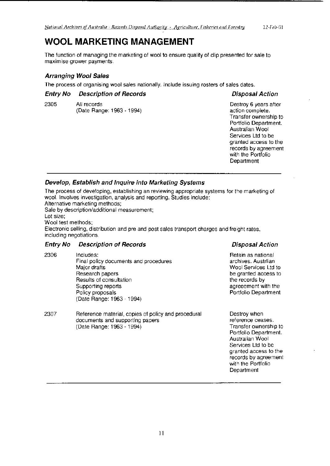## WOOL MARKETING MANAGEMENT

The function of managing the marketing of wool to ensure quality of clip presented for sale to maximise grower payments.

### Arranging Wool Sales

The process of organising wool sales nationally. Include issuing rosters of sales dates.

### Entry No Description of Records Disposal Action

(Date Range: 1963 - 1994)

2305 All records **All records** 2305 All records **All records** 2305 All records 2305 All records 2305 All records 2<br>(Date Range: 1963 - 1994) All records action complete. Transfer ownership to Portfolio Department. Australian Wool Services Ltd to be granted access to the records by agreement with the Portfolio **Department** 

### Develop, Establish and Inquire into Marketing Systems

The process of developing, establishing an reviewing appropriate systems lor the marketing of wool. Involves investigation, analysis and reporting. Studies include: Alternative marketing methods;

Sale by description/additional measurement;

Lot size;

Wool test methods;

Electronic selling, distribution and pre and post sales transport charges and freight rates, including negotiations.

### Entry No Description of Records Disposal Action

- 2306 Includes: Retain as national Final policy documents and procedures archives. Austrian archives. Austrian Major drafts Wool Services Ltd to Research papers be granted access to be granted access to Results of consultation the records by the records by Supporting reports and the state of the state agreement with the state agreement with the state of the state of the state of the state of the state of the state of the state of the state of the state of the state of the st Policy proposals **Policy Policy Policy Portfolio Department** (Date Range: 1963 - 1994)
- 2307 Reference material, copies of policy and procedural Destroy when documents and supporting papers reference ceases. (Date Range: 1963 - 1994) Transfer ownership to

### Portfolio Department. Australian Wool Services Ltd to be granted access to the records by agreement with the Portfolio Department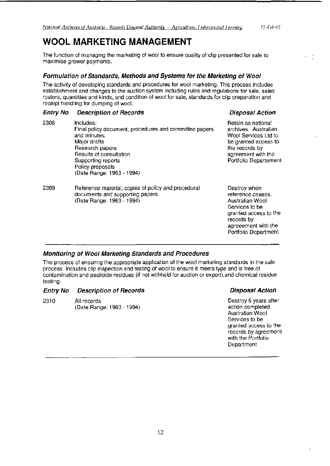## WOOL MARKETING MANAGEMENT

The function of managing the marketing of wool to ensure quality of clip presented for sale to maximise grower payments.

### **Formulation of Standards, Methods and Systems for the Marketing of Wool**

The activity of developing standards and procedures for wool marketing. This process includes establishment and changes to the auction system including rules and regulations for sale, sales rosters, quantities and kinds, and condition of wool for sale, standards for clip preparation and receipt handling for dumping of wool.

| <b>Entry No</b> | <b>Description of Records</b>                                                                                                                                                                                           | <b>Disposal Action</b>                                                                                                                                       |
|-----------------|-------------------------------------------------------------------------------------------------------------------------------------------------------------------------------------------------------------------------|--------------------------------------------------------------------------------------------------------------------------------------------------------------|
| 2308            | Includes:<br>Final policy document, procedures and committee papers<br>and minutes<br>Major drafts<br>Research papers<br>Results of consultation<br>Supporting reports<br>Policy proposals<br>(Date Range: 1963 - 1994) | Retain as national<br>archives. Australian<br>Wool Services Ltd to<br>be granted access to<br>the records by<br>agreement with the<br>Portfolio Departement  |
| 2309            | Reference material, copies of policy and procedural<br>documents and supporting papers<br>(Date Range: 1963 - 1994)                                                                                                     | Destroy when<br>reference ceases.<br>Australian Wool<br>Services to be<br>granted access to the<br>records by<br>agreeement with the<br>Portfolio Department |

### **Monitoring of Wool Marketing Standards and Procedures**

The process of ensuring the appropriate application of the wool marketing standards in the sale process. Includes clip inspection and testing of wool to ensure it meets type and is free of contamination and pesticide residues {if not withheld for auction or export),and chemical residue testing.

### **Entry No Description of Records Contract Contract Disposal Action Action**

2310 All records (Date Range: 1963 - 1994)

Destroy 6 years after action completed. Australian Wool Services to be granted access to the records by agreement with the Portfolio Department